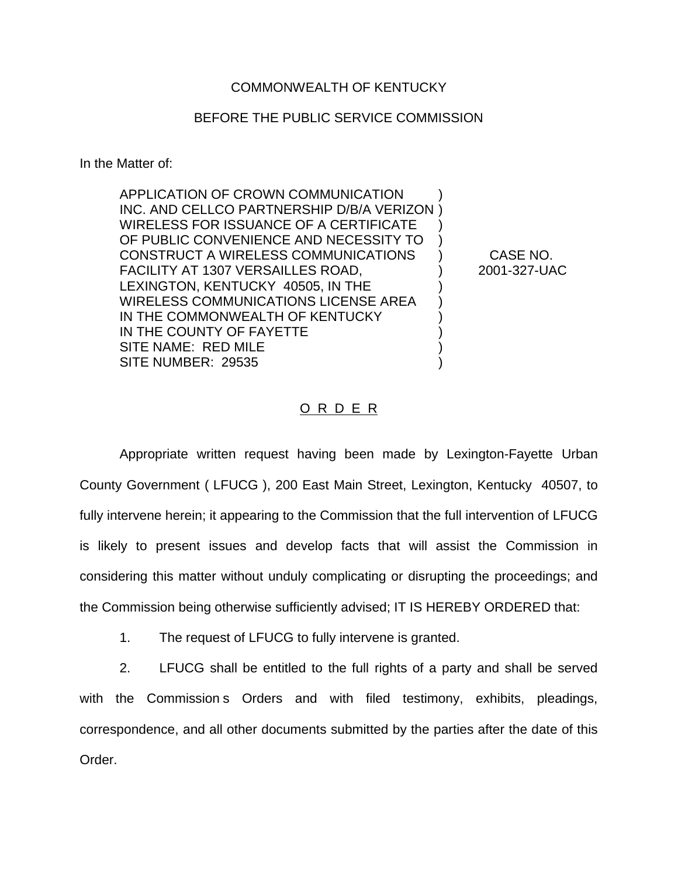## BEFORE THE PUBLIC SERVICE COMMISSION

In the Matter of:

| <b>APPLICATION OF CROWN COMMUNICATION</b>     |  |
|-----------------------------------------------|--|
| INC. AND CELLCO PARTNERSHIP D/B/A VERIZON)    |  |
| <b>WIRELESS FOR ISSUANCE OF A CERTIFICATE</b> |  |
| OF PUBLIC CONVENIENCE AND NECESSITY TO        |  |
| CONSTRUCT A WIRELESS COMMUNICATIONS           |  |
| FACILITY AT 1307 VERSAILLES ROAD,             |  |
| LEXINGTON, KENTUCKY 40505, IN THE             |  |
| <b>WIRELESS COMMUNICATIONS LICENSE AREA</b>   |  |
| IN THE COMMONWEALTH OF KENTUCKY               |  |
| IN THE COUNTY OF FAYETTE                      |  |
| SITE NAME: RED MILE                           |  |
| SITE NUMBER: 29535                            |  |
|                                               |  |

CASE NO. 2001-327-UAC

## O R D E R

Appropriate written request having been made by Lexington-Fayette Urban County Government ( LFUCG ), 200 East Main Street, Lexington, Kentucky 40507, to fully intervene herein; it appearing to the Commission that the full intervention of LFUCG is likely to present issues and develop facts that will assist the Commission in considering this matter without unduly complicating or disrupting the proceedings; and the Commission being otherwise sufficiently advised; IT IS HEREBY ORDERED that:

1. The request of LFUCG to fully intervene is granted.

2. LFUCG shall be entitled to the full rights of a party and shall be served with the Commission s Orders and with filed testimony, exhibits, pleadings, correspondence, and all other documents submitted by the parties after the date of this Order.